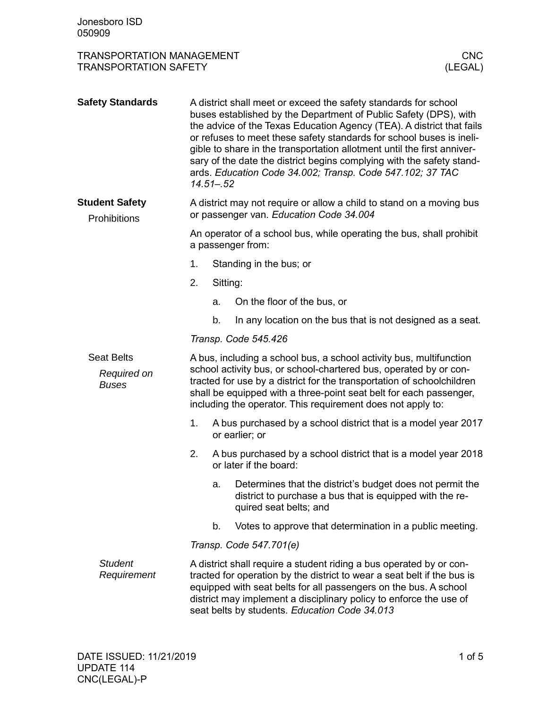| <b>TRANSPORTATION MANAGEMENT</b><br><b>TRANSPORTATION SAFETY</b> |                                                                                                                 |                                                                                           |                                                                                                                                                                                                                                                                                                                                                                                                                                                                                                       | <b>CNC</b><br>(LEGAL) |  |
|------------------------------------------------------------------|-----------------------------------------------------------------------------------------------------------------|-------------------------------------------------------------------------------------------|-------------------------------------------------------------------------------------------------------------------------------------------------------------------------------------------------------------------------------------------------------------------------------------------------------------------------------------------------------------------------------------------------------------------------------------------------------------------------------------------------------|-----------------------|--|
| <b>Safety Standards</b>                                          |                                                                                                                 | $14.51 - 52$                                                                              | A district shall meet or exceed the safety standards for school<br>buses established by the Department of Public Safety (DPS), with<br>the advice of the Texas Education Agency (TEA). A district that fails<br>or refuses to meet these safety standards for school buses is ineli-<br>gible to share in the transportation allotment until the first anniver-<br>sary of the date the district begins complying with the safety stand-<br>ards. Education Code 34.002; Transp. Code 547.102; 37 TAC |                       |  |
| <b>Student Safety</b><br>Prohibitions                            | A district may not require or allow a child to stand on a moving bus<br>or passenger van. Education Code 34.004 |                                                                                           |                                                                                                                                                                                                                                                                                                                                                                                                                                                                                                       |                       |  |
|                                                                  |                                                                                                                 | An operator of a school bus, while operating the bus, shall prohibit<br>a passenger from: |                                                                                                                                                                                                                                                                                                                                                                                                                                                                                                       |                       |  |
|                                                                  | 1.                                                                                                              |                                                                                           | Standing in the bus; or                                                                                                                                                                                                                                                                                                                                                                                                                                                                               |                       |  |
|                                                                  | 2.                                                                                                              |                                                                                           | Sitting:                                                                                                                                                                                                                                                                                                                                                                                                                                                                                              |                       |  |
|                                                                  |                                                                                                                 | a.                                                                                        | On the floor of the bus, or                                                                                                                                                                                                                                                                                                                                                                                                                                                                           |                       |  |
|                                                                  |                                                                                                                 | b.                                                                                        | In any location on the bus that is not designed as a seat.                                                                                                                                                                                                                                                                                                                                                                                                                                            |                       |  |
|                                                                  |                                                                                                                 |                                                                                           | Transp. Code 545.426                                                                                                                                                                                                                                                                                                                                                                                                                                                                                  |                       |  |
| <b>Seat Belts</b><br>Required on<br><b>Buses</b>                 |                                                                                                                 |                                                                                           | A bus, including a school bus, a school activity bus, multifunction<br>school activity bus, or school-chartered bus, operated by or con-<br>tracted for use by a district for the transportation of schoolchildren<br>shall be equipped with a three-point seat belt for each passenger,<br>including the operator. This requirement does not apply to:                                                                                                                                               |                       |  |
|                                                                  | 1.                                                                                                              |                                                                                           | A bus purchased by a school district that is a model year 2017<br>or earlier; or                                                                                                                                                                                                                                                                                                                                                                                                                      |                       |  |
|                                                                  | 2.                                                                                                              |                                                                                           | A bus purchased by a school district that is a model year 2018<br>or later if the board:                                                                                                                                                                                                                                                                                                                                                                                                              |                       |  |
|                                                                  |                                                                                                                 | a.                                                                                        | Determines that the district's budget does not permit the<br>district to purchase a bus that is equipped with the re-<br>quired seat belts; and                                                                                                                                                                                                                                                                                                                                                       |                       |  |
|                                                                  |                                                                                                                 | b.                                                                                        | Votes to approve that determination in a public meeting.                                                                                                                                                                                                                                                                                                                                                                                                                                              |                       |  |
|                                                                  |                                                                                                                 |                                                                                           | Transp. Code 547.701(e)                                                                                                                                                                                                                                                                                                                                                                                                                                                                               |                       |  |
| <b>Student</b><br>Requirement                                    |                                                                                                                 |                                                                                           | A district shall require a student riding a bus operated by or con-<br>tracted for operation by the district to wear a seat belt if the bus is<br>equipped with seat belts for all passengers on the bus. A school<br>district may implement a disciplinary policy to enforce the use of<br>seat belts by students. Education Code 34.013                                                                                                                                                             |                       |  |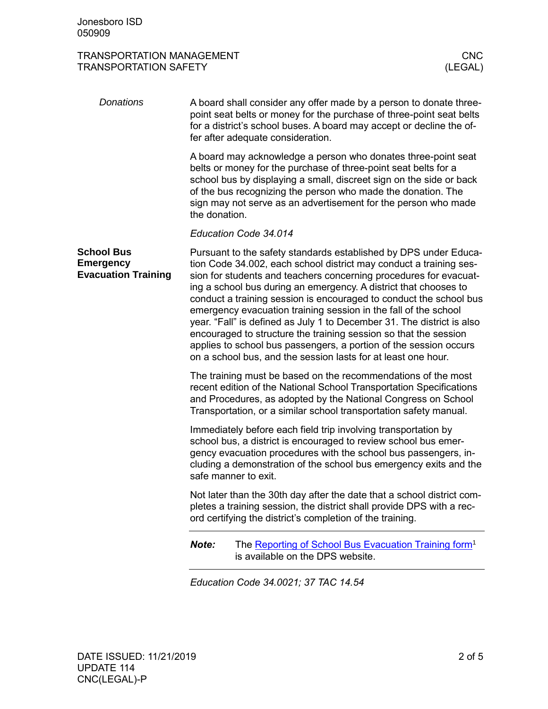## TRANSPORTATION MANAGEMENT CNC TRANSPORTATION SAFETY

| Donations                                                           | A board shall consider any offer made by a person to donate three-<br>point seat belts or money for the purchase of three-point seat belts<br>for a district's school buses. A board may accept or decline the of-<br>fer after adequate consideration.                                                                                                                                                                                                                                                                                                                                                                                                                                                      |
|---------------------------------------------------------------------|--------------------------------------------------------------------------------------------------------------------------------------------------------------------------------------------------------------------------------------------------------------------------------------------------------------------------------------------------------------------------------------------------------------------------------------------------------------------------------------------------------------------------------------------------------------------------------------------------------------------------------------------------------------------------------------------------------------|
|                                                                     | A board may acknowledge a person who donates three-point seat<br>belts or money for the purchase of three-point seat belts for a<br>school bus by displaying a small, discreet sign on the side or back<br>of the bus recognizing the person who made the donation. The<br>sign may not serve as an advertisement for the person who made<br>the donation.                                                                                                                                                                                                                                                                                                                                                   |
|                                                                     | Education Code 34.014                                                                                                                                                                                                                                                                                                                                                                                                                                                                                                                                                                                                                                                                                        |
| <b>School Bus</b><br><b>Emergency</b><br><b>Evacuation Training</b> | Pursuant to the safety standards established by DPS under Educa-<br>tion Code 34.002, each school district may conduct a training ses-<br>sion for students and teachers concerning procedures for evacuat-<br>ing a school bus during an emergency. A district that chooses to<br>conduct a training session is encouraged to conduct the school bus<br>emergency evacuation training session in the fall of the school<br>year. "Fall" is defined as July 1 to December 31. The district is also<br>encouraged to structure the training session so that the session<br>applies to school bus passengers, a portion of the session occurs<br>on a school bus, and the session lasts for at least one hour. |
|                                                                     | The training must be based on the recommendations of the most<br>recent edition of the National School Transportation Specifications<br>and Procedures, as adopted by the National Congress on School<br>Transportation, or a similar school transportation safety manual.                                                                                                                                                                                                                                                                                                                                                                                                                                   |
|                                                                     | Immediately before each field trip involving transportation by<br>school bus, a district is encouraged to review school bus emer-<br>gency evacuation procedures with the school bus passengers, in-<br>cluding a demonstration of the school bus emergency exits and the<br>safe manner to exit.                                                                                                                                                                                                                                                                                                                                                                                                            |
|                                                                     | Not later than the 30th day after the date that a school district com-<br>pletes a training session, the district shall provide DPS with a rec-<br>ord certifying the district's completion of the training.                                                                                                                                                                                                                                                                                                                                                                                                                                                                                                 |
|                                                                     | Note:<br>The Reporting of School Bus Evacuation Training form <sup>1</sup><br>is available on the DPS website.                                                                                                                                                                                                                                                                                                                                                                                                                                                                                                                                                                                               |

*Education Code 34.0021; 37 TAC 14.54*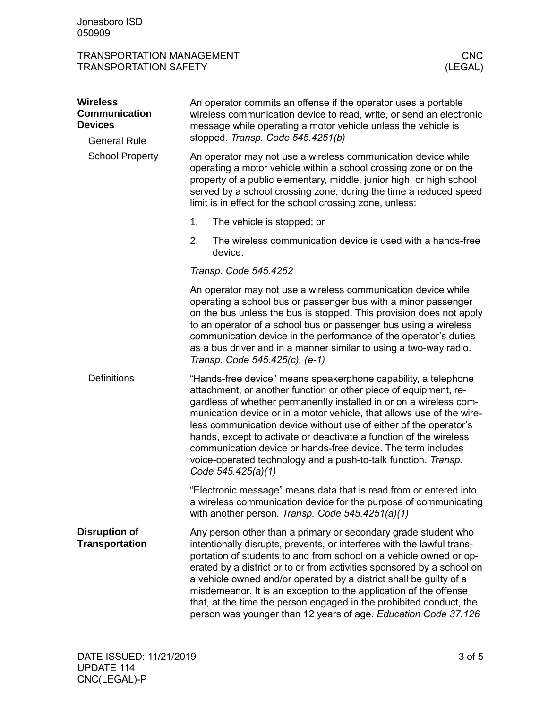| <b>TRANSPORTATION MANAGEMENT</b> |         |
|----------------------------------|---------|
| <b>TRANSPORTATION SAFETY</b>     | (LEGAL) |

| <b>Wireless</b><br><b>Communication</b><br><b>Devices</b> | An operator commits an offense if the operator uses a portable<br>wireless communication device to read, write, or send an electronic<br>message while operating a motor vehicle unless the vehicle is                                                                                                                                                                                                                                                                                                                                                                               |  |  |  |
|-----------------------------------------------------------|--------------------------------------------------------------------------------------------------------------------------------------------------------------------------------------------------------------------------------------------------------------------------------------------------------------------------------------------------------------------------------------------------------------------------------------------------------------------------------------------------------------------------------------------------------------------------------------|--|--|--|
| <b>General Rule</b>                                       | stopped. Transp. Code 545.4251(b)<br>An operator may not use a wireless communication device while<br>operating a motor vehicle within a school crossing zone or on the<br>property of a public elementary, middle, junior high, or high school<br>served by a school crossing zone, during the time a reduced speed<br>limit is in effect for the school crossing zone, unless:                                                                                                                                                                                                     |  |  |  |
| <b>School Property</b>                                    |                                                                                                                                                                                                                                                                                                                                                                                                                                                                                                                                                                                      |  |  |  |
|                                                           | 1.<br>The vehicle is stopped; or                                                                                                                                                                                                                                                                                                                                                                                                                                                                                                                                                     |  |  |  |
|                                                           | 2.<br>The wireless communication device is used with a hands-free<br>device.                                                                                                                                                                                                                                                                                                                                                                                                                                                                                                         |  |  |  |
|                                                           | Transp. Code 545.4252                                                                                                                                                                                                                                                                                                                                                                                                                                                                                                                                                                |  |  |  |
|                                                           | An operator may not use a wireless communication device while<br>operating a school bus or passenger bus with a minor passenger<br>on the bus unless the bus is stopped. This provision does not apply<br>to an operator of a school bus or passenger bus using a wireless<br>communication device in the performance of the operator's duties<br>as a bus driver and in a manner similar to using a two-way radio.<br>Transp. Code 545.425(c), (e-1)                                                                                                                                |  |  |  |
| <b>Definitions</b>                                        | "Hands-free device" means speakerphone capability, a telephone<br>attachment, or another function or other piece of equipment, re-<br>gardless of whether permanently installed in or on a wireless com-<br>munication device or in a motor vehicle, that allows use of the wire-<br>less communication device without use of either of the operator's<br>hands, except to activate or deactivate a function of the wireless<br>communication device or hands-free device. The term includes<br>voice-operated technology and a push-to-talk function. Transp.<br>Code 545.425(a)(1) |  |  |  |
|                                                           | "Electronic message" means data that is read from or entered into<br>a wireless communication device for the purpose of communicating<br>with another person. Transp. Code 545.4251(a)(1)                                                                                                                                                                                                                                                                                                                                                                                            |  |  |  |
| <b>Disruption of</b><br><b>Transportation</b>             | Any person other than a primary or secondary grade student who<br>intentionally disrupts, prevents, or interferes with the lawful trans-<br>portation of students to and from school on a vehicle owned or op-<br>erated by a district or to or from activities sponsored by a school on<br>a vehicle owned and/or operated by a district shall be guilty of a<br>misdemeanor. It is an exception to the application of the offense<br>that, at the time the person engaged in the prohibited conduct, the<br>person was younger than 12 years of age. Education Code 37.126         |  |  |  |
|                                                           |                                                                                                                                                                                                                                                                                                                                                                                                                                                                                                                                                                                      |  |  |  |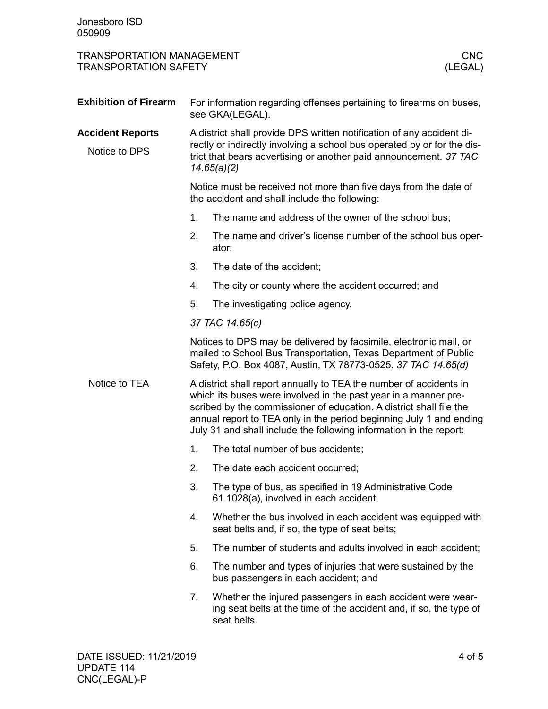| <b>TRANSPORTATION MANAGEMENT</b><br><b>CNC</b><br><b>TRANSPORTATION SAFETY</b><br>(LEGAL) |                                                                                                                                                                                                                                      |                                                                                                                                                                                                                                                                                                                                                           |  |
|-------------------------------------------------------------------------------------------|--------------------------------------------------------------------------------------------------------------------------------------------------------------------------------------------------------------------------------------|-----------------------------------------------------------------------------------------------------------------------------------------------------------------------------------------------------------------------------------------------------------------------------------------------------------------------------------------------------------|--|
| <b>Exhibition of Firearm</b>                                                              |                                                                                                                                                                                                                                      | For information regarding offenses pertaining to firearms on buses,<br>see GKA(LEGAL).                                                                                                                                                                                                                                                                    |  |
| <b>Accident Reports</b><br>Notice to DPS                                                  | A district shall provide DPS written notification of any accident di-<br>rectly or indirectly involving a school bus operated by or for the dis-<br>trict that bears advertising or another paid announcement. 37 TAC<br>14.65(a)(2) |                                                                                                                                                                                                                                                                                                                                                           |  |
|                                                                                           | Notice must be received not more than five days from the date of<br>the accident and shall include the following:                                                                                                                    |                                                                                                                                                                                                                                                                                                                                                           |  |
|                                                                                           | 1.                                                                                                                                                                                                                                   | The name and address of the owner of the school bus;                                                                                                                                                                                                                                                                                                      |  |
|                                                                                           | 2.                                                                                                                                                                                                                                   | The name and driver's license number of the school bus oper-<br>ator;                                                                                                                                                                                                                                                                                     |  |
|                                                                                           | 3.                                                                                                                                                                                                                                   | The date of the accident;                                                                                                                                                                                                                                                                                                                                 |  |
|                                                                                           | 4.                                                                                                                                                                                                                                   | The city or county where the accident occurred; and                                                                                                                                                                                                                                                                                                       |  |
|                                                                                           | 5.                                                                                                                                                                                                                                   | The investigating police agency.                                                                                                                                                                                                                                                                                                                          |  |
|                                                                                           |                                                                                                                                                                                                                                      | 37 TAC 14.65(c)                                                                                                                                                                                                                                                                                                                                           |  |
|                                                                                           |                                                                                                                                                                                                                                      | Notices to DPS may be delivered by facsimile, electronic mail, or<br>mailed to School Bus Transportation, Texas Department of Public<br>Safety, P.O. Box 4087, Austin, TX 78773-0525. 37 TAC 14.65(d)                                                                                                                                                     |  |
| Notice to TEA                                                                             |                                                                                                                                                                                                                                      | A district shall report annually to TEA the number of accidents in<br>which its buses were involved in the past year in a manner pre-<br>scribed by the commissioner of education. A district shall file the<br>annual report to TEA only in the period beginning July 1 and ending<br>July 31 and shall include the following information in the report: |  |
|                                                                                           | 1.                                                                                                                                                                                                                                   | The total number of bus accidents;                                                                                                                                                                                                                                                                                                                        |  |
|                                                                                           | 2.                                                                                                                                                                                                                                   | The date each accident occurred;                                                                                                                                                                                                                                                                                                                          |  |
|                                                                                           | 3.                                                                                                                                                                                                                                   | The type of bus, as specified in 19 Administrative Code<br>61.1028(a), involved in each accident;                                                                                                                                                                                                                                                         |  |
|                                                                                           | 4.                                                                                                                                                                                                                                   | Whether the bus involved in each accident was equipped with<br>seat belts and, if so, the type of seat belts;                                                                                                                                                                                                                                             |  |
|                                                                                           | 5.                                                                                                                                                                                                                                   | The number of students and adults involved in each accident;                                                                                                                                                                                                                                                                                              |  |
|                                                                                           | 6.                                                                                                                                                                                                                                   | The number and types of injuries that were sustained by the<br>bus passengers in each accident; and                                                                                                                                                                                                                                                       |  |
|                                                                                           | 7.                                                                                                                                                                                                                                   | Whether the injured passengers in each accident were wear-<br>ing seat belts at the time of the accident and, if so, the type of<br>seat belts.                                                                                                                                                                                                           |  |